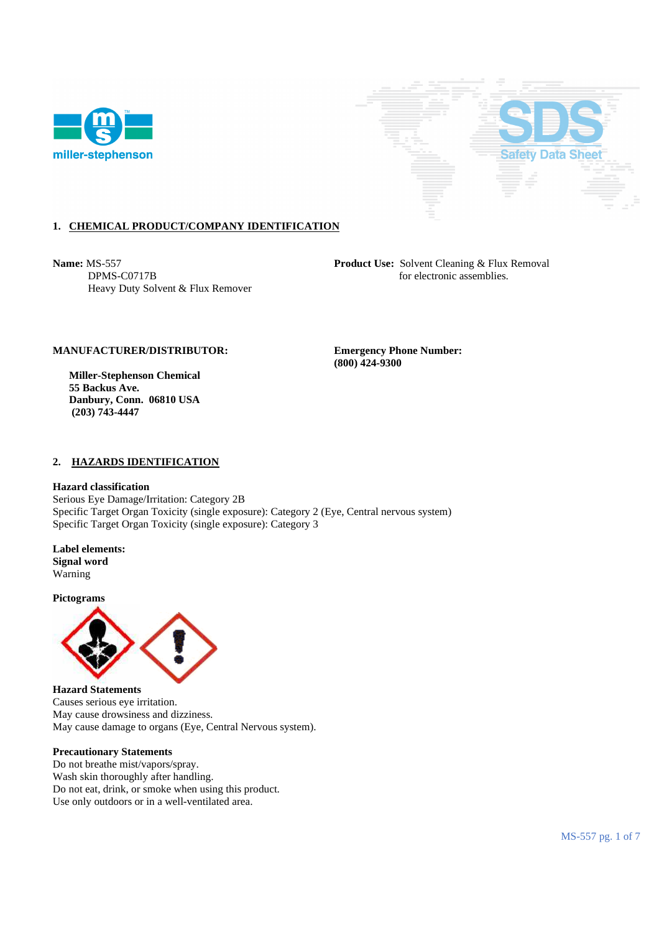



## **1. CHEMICAL PRODUCT/COMPANY IDENTIFICATION**

Heavy Duty Solvent & Flux Remover

**Name:** MS-557 **Product Use:** Solvent Cleaning & Flux Removal DPMS-C0717B for electronic assemblies.

### **MANUFACTURER/DISTRIBUTOR: Emergency Phone Number:**

 **Miller-Stephenson Chemical 55 Backus Ave. Danbury, Conn. 06810 USA (203) 743-4447** 

 **(800) 424-9300** 

#### **2. HAZARDS IDENTIFICATION**

#### **Hazard classification**

Serious Eye Damage/Irritation: Category 2B Specific Target Organ Toxicity (single exposure): Category 2 (Eye, Central nervous system) Specific Target Organ Toxicity (single exposure): Category 3

**Label elements: Signal word**  Warning

**Pictograms** 



**Hazard Statements**  Causes serious eye irritation. May cause drowsiness and dizziness. May cause damage to organs (Eye, Central Nervous system).

#### **Precautionary Statements**

Do not breathe mist/vapors/spray. Wash skin thoroughly after handling. Do not eat, drink, or smoke when using this product. Use only outdoors or in a well-ventilated area.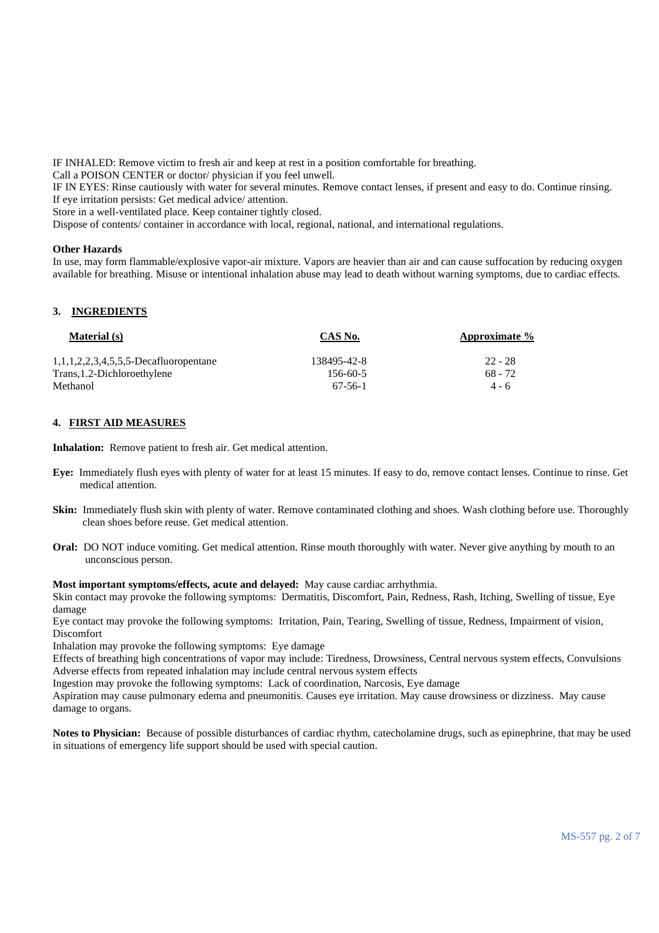IF INHALED: Remove victim to fresh air and keep at rest in a position comfortable for breathing.

Call a POISON CENTER or doctor/ physician if you feel unwell.

IF IN EYES: Rinse cautiously with water for several minutes. Remove contact lenses, if present and easy to do. Continue rinsing. If eye irritation persists: Get medical advice/ attention.

Store in a well-ventilated place. Keep container tightly closed.

Dispose of contents/ container in accordance with local, regional, national, and international regulations.

## **Other Hazards**

In use, may form flammable/explosive vapor-air mixture. Vapors are heavier than air and can cause suffocation by reducing oxygen available for breathing. Misuse or intentional inhalation abuse may lead to death without warning symptoms, due to cardiac effects.

# **3. INGREDIENTS**

| <b>Material</b> (s)                      | CAS No.        | Approximate % |
|------------------------------------------|----------------|---------------|
| $1,1,1,2,2,3,4,5,5,5$ -Decafluoropentane | 138495-42-8    | $22 - 28$     |
| Trans, 1.2-Dichloroethylene              | $156 - 60 - 5$ | $68 - 72$     |
| Methanol                                 | 67-56-1        | $4 - 6$       |

## **4. FIRST AID MEASURES**

**Inhalation:** Remove patient to fresh air. Get medical attention.

- **Eye:** Immediately flush eyes with plenty of water for at least 15 minutes. If easy to do, remove contact lenses. Continue to rinse. Get medical attention.
- **Skin:** Immediately flush skin with plenty of water. Remove contaminated clothing and shoes. Wash clothing before use. Thoroughly clean shoes before reuse. Get medical attention.
- **Oral:** DO NOT induce vomiting. Get medical attention. Rinse mouth thoroughly with water. Never give anything by mouth to an unconscious person.

**Most important symptoms/effects, acute and delayed:** May cause cardiac arrhythmia.

Skin contact may provoke the following symptoms: Dermatitis, Discomfort, Pain, Redness, Rash, Itching, Swelling of tissue, Eye damage

Eye contact may provoke the following symptoms: Irritation, Pain, Tearing, Swelling of tissue, Redness, Impairment of vision, Discomfort

Inhalation may provoke the following symptoms: Eye damage

Effects of breathing high concentrations of vapor may include: Tiredness, Drowsiness, Central nervous system effects, Convulsions Adverse effects from repeated inhalation may include central nervous system effects

Ingestion may provoke the following symptoms: Lack of coordination, Narcosis, Eye damage

Aspiration may cause pulmonary edema and pneumonitis. Causes eye irritation. May cause drowsiness or dizziness. May cause damage to organs.

**Notes to Physician:** Because of possible disturbances of cardiac rhythm, catecholamine drugs, such as epinephrine, that may be used in situations of emergency life support should be used with special caution.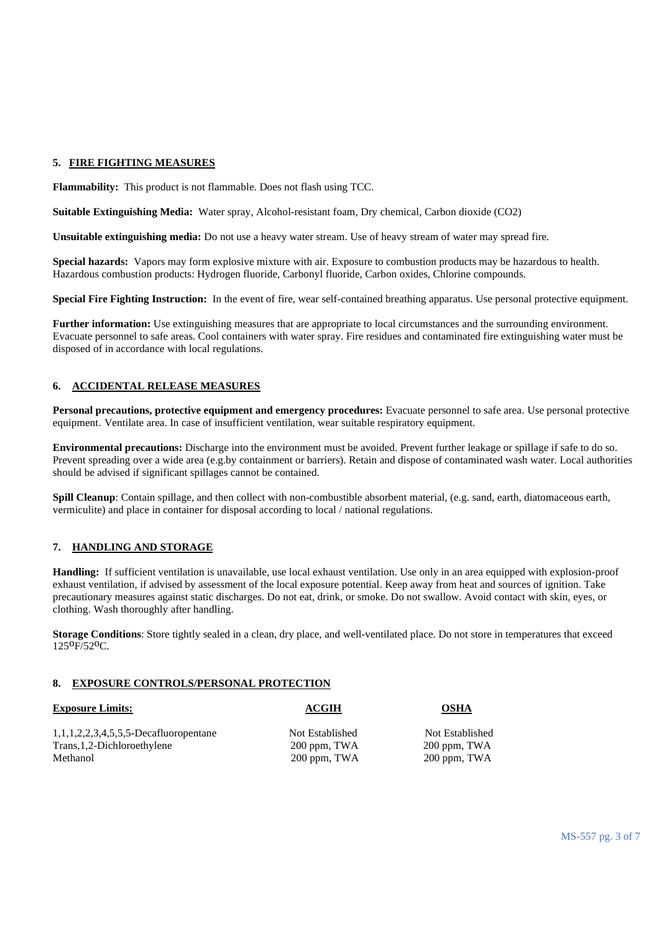## **5. FIRE FIGHTING MEASURES**

**Flammability:** This product is not flammable. Does not flash using TCC.

**Suitable Extinguishing Media:** Water spray, Alcohol-resistant foam, Dry chemical, Carbon dioxide (CO2)

**Unsuitable extinguishing media:** Do not use a heavy water stream. Use of heavy stream of water may spread fire.

**Special hazards:** Vapors may form explosive mixture with air. Exposure to combustion products may be hazardous to health. Hazardous combustion products: Hydrogen fluoride, Carbonyl fluoride, Carbon oxides, Chlorine compounds.

**Special Fire Fighting Instruction:** In the event of fire, wear self-contained breathing apparatus. Use personal protective equipment.

**Further information:** Use extinguishing measures that are appropriate to local circumstances and the surrounding environment. Evacuate personnel to safe areas. Cool containers with water spray. Fire residues and contaminated fire extinguishing water must be disposed of in accordance with local regulations.

## **6. ACCIDENTAL RELEASE MEASURES**

**Personal precautions, protective equipment and emergency procedures:** Evacuate personnel to safe area. Use personal protective equipment. Ventilate area. In case of insufficient ventilation, wear suitable respiratory equipment.

**Environmental precautions:** Discharge into the environment must be avoided. Prevent further leakage or spillage if safe to do so. Prevent spreading over a wide area (e.g.by containment or barriers). Retain and dispose of contaminated wash water. Local authorities should be advised if significant spillages cannot be contained.

**Spill Cleanup**: Contain spillage, and then collect with non-combustible absorbent material, (e.g. sand, earth, diatomaceous earth, vermiculite) and place in container for disposal according to local / national regulations.

# **7. HANDLING AND STORAGE**

**Handling:** If sufficient ventilation is unavailable, use local exhaust ventilation. Use only in an area equipped with explosion-proof exhaust ventilation, if advised by assessment of the local exposure potential. Keep away from heat and sources of ignition. Take precautionary measures against static discharges. Do not eat, drink, or smoke. Do not swallow. Avoid contact with skin, eyes, or clothing. Wash thoroughly after handling.

**Storage Conditions:** Store tightly sealed in a clean, dry place, and well-ventilated place. Do not store in temperatures that exceed 125oF/52oC.

## **8. EXPOSURE CONTROLS/PERSONAL PROTECTION**

| <b>Exposure Limits:</b>                  | <b>ACGIH</b>    | <b>OSHA</b>     |
|------------------------------------------|-----------------|-----------------|
| $1,1,1,2,2,3,4,5,5,5$ -Decafluoropentane | Not Established | Not Established |
| Trans, 1, 2-Dichloroethylene             | 200 ppm, TWA    | 200 ppm, TWA    |
| Methanol                                 | 200 ppm, TWA    | 200 ppm, TWA    |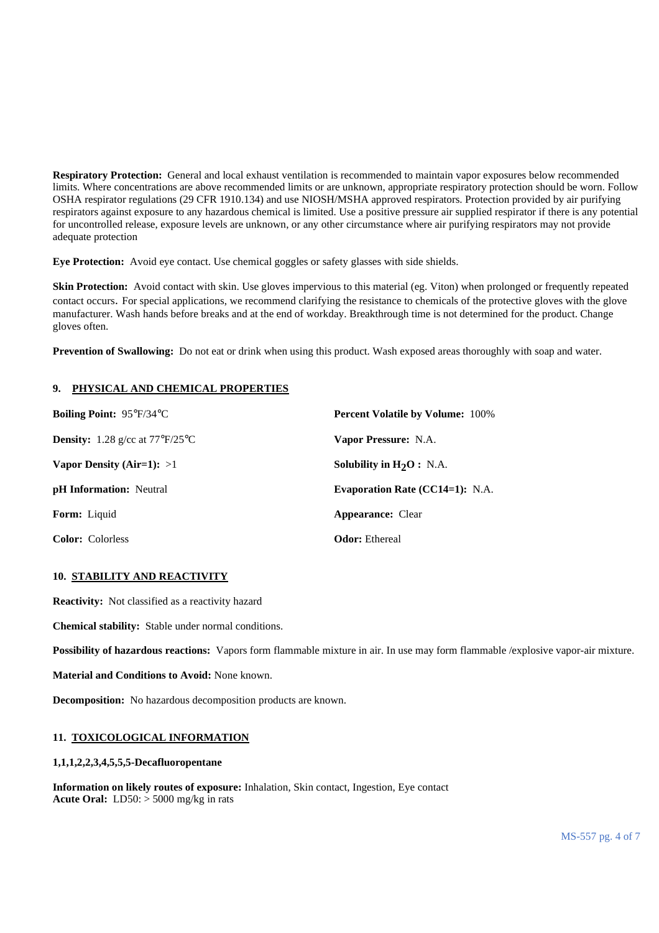**Respiratory Protection:** General and local exhaust ventilation is recommended to maintain vapor exposures below recommended limits. Where concentrations are above recommended limits or are unknown, appropriate respiratory protection should be worn. Follow OSHA respirator regulations (29 CFR 1910.134) and use NIOSH/MSHA approved respirators. Protection provided by air purifying respirators against exposure to any hazardous chemical is limited. Use a positive pressure air supplied respirator if there is any potential for uncontrolled release, exposure levels are unknown, or any other circumstance where air purifying respirators may not provide adequate protection

**Eye Protection:** Avoid eye contact. Use chemical goggles or safety glasses with side shields.

**Skin Protection:** Avoid contact with skin. Use gloves impervious to this material (eg. Viton) when prolonged or frequently repeated contact occurs. For special applications, we recommend clarifying the resistance to chemicals of the protective gloves with the glove manufacturer. Wash hands before breaks and at the end of workday. Breakthrough time is not determined for the product. Change gloves often.

**Prevention of Swallowing:** Do not eat or drink when using this product. Wash exposed areas thoroughly with soap and water.

## **9. PHYSICAL AND CHEMICAL PROPERTIES**

| Boiling Point: 95°F/34°C                               | <b>Percent Volatile by Volume: 100%</b> |
|--------------------------------------------------------|-----------------------------------------|
| <b>Density:</b> 1.28 g/cc at $77^{\circ}F/25^{\circ}C$ | Vapor Pressure: N.A.                    |
| Vapor Density (Air=1): $>1$                            | Solubility in $H_2O$ : N.A.             |
| <b>pH</b> Information: Neutral                         | <b>Evaporation Rate (CC14=1): N.A.</b>  |
| <b>Form:</b> Liquid                                    | <b>Appearance:</b> Clear                |
| <b>Color:</b> Colorless                                | <b>Odor:</b> Ethereal                   |

## **10. STABILITY AND REACTIVITY**

**Reactivity:** Not classified as a reactivity hazard

**Chemical stability:** Stable under normal conditions.

**Possibility of hazardous reactions:** Vapors form flammable mixture in air. In use may form flammable /explosive vapor-air mixture.

**Material and Conditions to Avoid:** None known.

**Decomposition:** No hazardous decomposition products are known.

## **11. TOXICOLOGICAL INFORMATION**

#### **1,1,1,2,2,3,4,5,5,5-Decafluoropentane**

**Information on likely routes of exposure:** Inhalation, Skin contact, Ingestion, Eye contact **Acute Oral:** LD50: > 5000 mg/kg in rats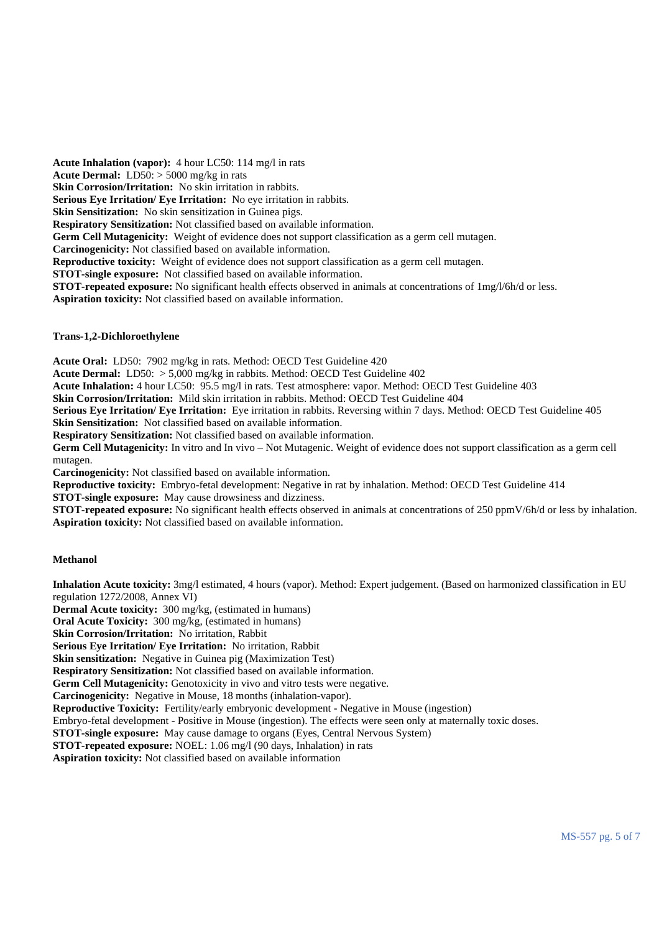**Acute Inhalation (vapor):** 4 hour LC50: 114 mg/l in rats **Acute Dermal:** LD50: > 5000 mg/kg in rats **Skin Corrosion/Irritation:** No skin irritation in rabbits. **Serious Eye Irritation/ Eye Irritation:** No eye irritation in rabbits. **Skin Sensitization:** No skin sensitization in Guinea pigs. **Respiratory Sensitization:** Not classified based on available information. **Germ Cell Mutagenicity:** Weight of evidence does not support classification as a germ cell mutagen. **Carcinogenicity:** Not classified based on available information. **Reproductive toxicity:** Weight of evidence does not support classification as a germ cell mutagen. **STOT-single exposure:** Not classified based on available information. **STOT-repeated exposure:** No significant health effects observed in animals at concentrations of 1mg/l/6h/d or less. **Aspiration toxicity:** Not classified based on available information.

## **Trans-1,2-Dichloroethylene**

**Acute Oral:** LD50: 7902 mg/kg in rats. Method: OECD Test Guideline 420

**Acute Dermal:** LD50: > 5,000 mg/kg in rabbits. Method: OECD Test Guideline 402

**Acute Inhalation:** 4 hour LC50: 95.5 mg/l in rats. Test atmosphere: vapor. Method: OECD Test Guideline 403

**Skin Corrosion/Irritation:** Mild skin irritation in rabbits. Method: OECD Test Guideline 404

**Serious Eye Irritation/ Eye Irritation:** Eye irritation in rabbits. Reversing within 7 days. Method: OECD Test Guideline 405 **Skin Sensitization:** Not classified based on available information.

**Respiratory Sensitization:** Not classified based on available information.

**Germ Cell Mutagenicity:** In vitro and In vivo – Not Mutagenic. Weight of evidence does not support classification as a germ cell mutagen.

**Carcinogenicity:** Not classified based on available information.

**Reproductive toxicity:** Embryo-fetal development: Negative in rat by inhalation. Method: OECD Test Guideline 414

**STOT-single exposure:** May cause drowsiness and dizziness.

**STOT-repeated exposure:** No significant health effects observed in animals at concentrations of 250 ppmV/6h/d or less by inhalation. **Aspiration toxicity:** Not classified based on available information.

#### **Methanol**

**Inhalation Acute toxicity:** 3mg/l estimated, 4 hours (vapor). Method: Expert judgement. (Based on harmonized classification in EU regulation 1272/2008, Annex VI)

**Dermal Acute toxicity:** 300 mg/kg, (estimated in humans)

**Oral Acute Toxicity:** 300 mg/kg, (estimated in humans)

**Skin Corrosion/Irritation:** No irritation, Rabbit

**Serious Eye Irritation/ Eye Irritation:** No irritation, Rabbit

**Skin sensitization:** Negative in Guinea pig (Maximization Test)

**Respiratory Sensitization:** Not classified based on available information.

Germ Cell Mutagenicity: Genotoxicity in vivo and vitro tests were negative.

**Carcinogenicity:** Negative in Mouse, 18 months (inhalation-vapor).

**Reproductive Toxicity:** Fertility/early embryonic development - Negative in Mouse (ingestion)

Embryo-fetal development - Positive in Mouse (ingestion). The effects were seen only at maternally toxic doses.

**STOT-single exposure:** May cause damage to organs (Eyes, Central Nervous System)

**STOT-repeated exposure:** NOEL: 1.06 mg/l (90 days, Inhalation) in rats

**Aspiration toxicity:** Not classified based on available information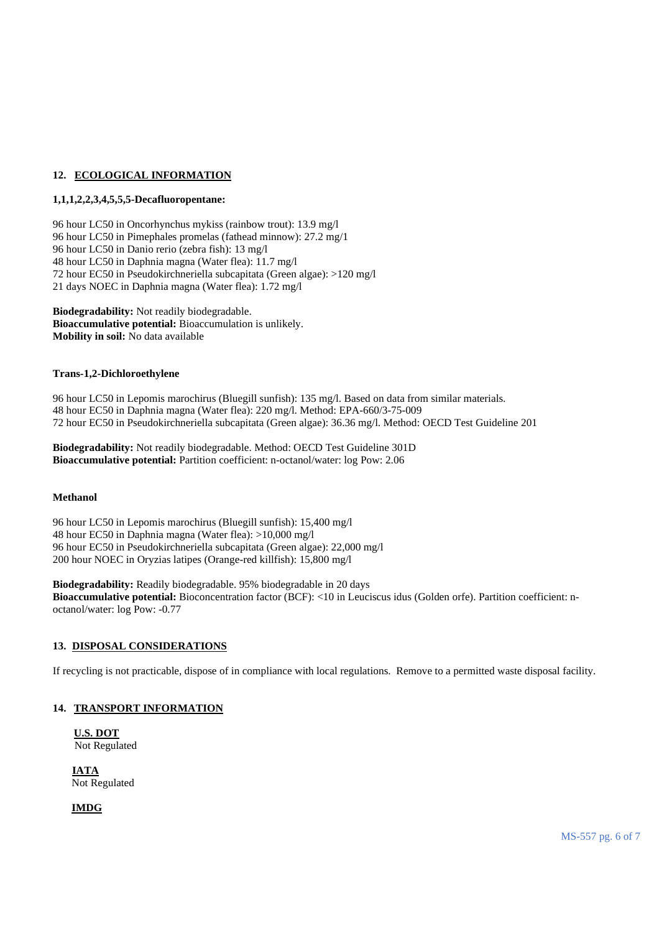## **12. ECOLOGICAL INFORMATION**

## **1,1,1,2,2,3,4,5,5,5-Decafluoropentane:**

96 hour LC50 in Oncorhynchus mykiss (rainbow trout): 13.9 mg/l 96 hour LC50 in Pimephales promelas (fathead minnow): 27.2 mg/1 96 hour LC50 in Danio rerio (zebra fish): 13 mg/l 48 hour LC50 in Daphnia magna (Water flea): 11.7 mg/l 72 hour EC50 in Pseudokirchneriella subcapitata (Green algae): >120 mg/l 21 days NOEC in Daphnia magna (Water flea): 1.72 mg/l

**Biodegradability:** Not readily biodegradable. **Bioaccumulative potential:** Bioaccumulation is unlikely. **Mobility in soil:** No data available

## **Trans-1,2-Dichloroethylene**

96 hour LC50 in Lepomis marochirus (Bluegill sunfish): 135 mg/l. Based on data from similar materials. 48 hour EC50 in Daphnia magna (Water flea): 220 mg/l. Method: EPA-660/3-75-009 72 hour EC50 in Pseudokirchneriella subcapitata (Green algae): 36.36 mg/l. Method: OECD Test Guideline 201

**Biodegradability:** Not readily biodegradable. Method: OECD Test Guideline 301D **Bioaccumulative potential:** Partition coefficient: n-octanol/water: log Pow: 2.06

## **Methanol**

96 hour LC50 in Lepomis marochirus (Bluegill sunfish): 15,400 mg/l 48 hour EC50 in Daphnia magna (Water flea): >10,000 mg/l 96 hour EC50 in Pseudokirchneriella subcapitata (Green algae): 22,000 mg/l 200 hour NOEC in Oryzias latipes (Orange-red killfish): 15,800 mg/l

**Biodegradability:** Readily biodegradable. 95% biodegradable in 20 days **Bioaccumulative potential:** Bioconcentration factor (BCF): <10 in Leuciscus idus (Golden orfe). Partition coefficient: noctanol/water: log Pow: -0.77

## **13. DISPOSAL CONSIDERATIONS**

If recycling is not practicable, dispose of in compliance with local regulations. Remove to a permitted waste disposal facility.

## **14. TRANSPORT INFORMATION**

**U.S. DOT** Not Regulated

**IATA** Not Regulated

**IMDG**